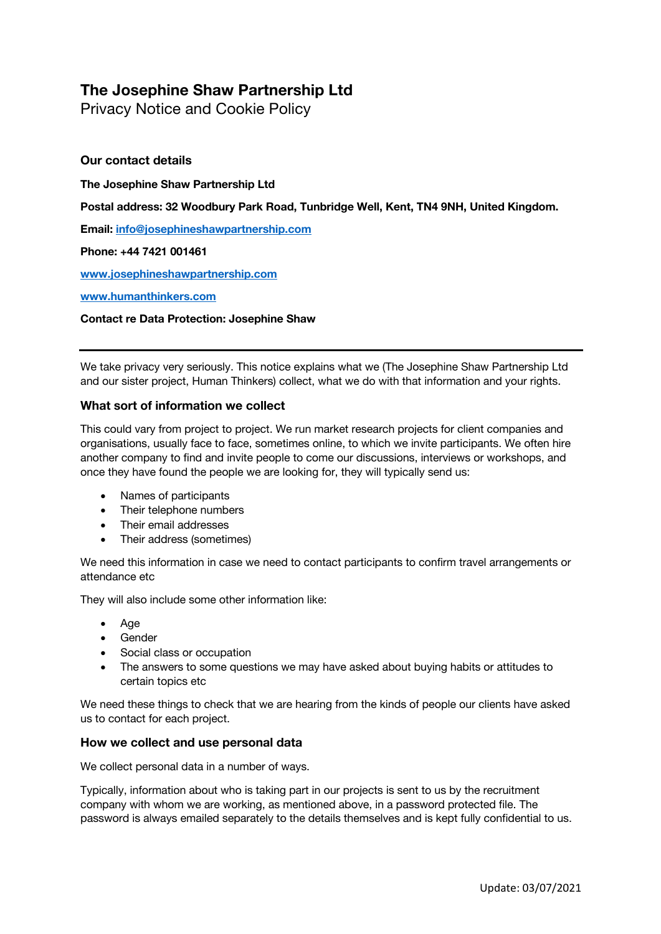# **The Josephine Shaw Partnership Ltd**

Privacy Notice and Cookie Policy

# **Our contact details**

**The Josephine Shaw Partnership Ltd**

**Postal address: 32 Woodbury Park Road, Tunbridge Well, Kent, TN4 9NH, United Kingdom.**

**Email: info@josephineshawpartnership.com**

## **Phone: +44 7421 001461**

**www.josephineshawpartnership.com**

### **www.humanthinkers.com**

## **Contact re Data Protection: Josephine Shaw**

We take privacy very seriously. This notice explains what we (The Josephine Shaw Partnership Ltd and our sister project, Human Thinkers) collect, what we do with that information and your rights.

## **What sort of information we collect**

This could vary from project to project. We run market research projects for client companies and organisations, usually face to face, sometimes online, to which we invite participants. We often hire another company to find and invite people to come our discussions, interviews or workshops, and once they have found the people we are looking for, they will typically send us:

- Names of participants
- Their telephone numbers
- Their email addresses
- Their address (sometimes)

We need this information in case we need to contact participants to confirm travel arrangements or attendance etc

They will also include some other information like:

- Age
- Gender
- Social class or occupation
- The answers to some questions we may have asked about buying habits or attitudes to certain topics etc

We need these things to check that we are hearing from the kinds of people our clients have asked us to contact for each project.

## **How we collect and use personal data**

We collect personal data in a number of ways.

Typically, information about who is taking part in our projects is sent to us by the recruitment company with whom we are working, as mentioned above, in a password protected file. The password is always emailed separately to the details themselves and is kept fully confidential to us.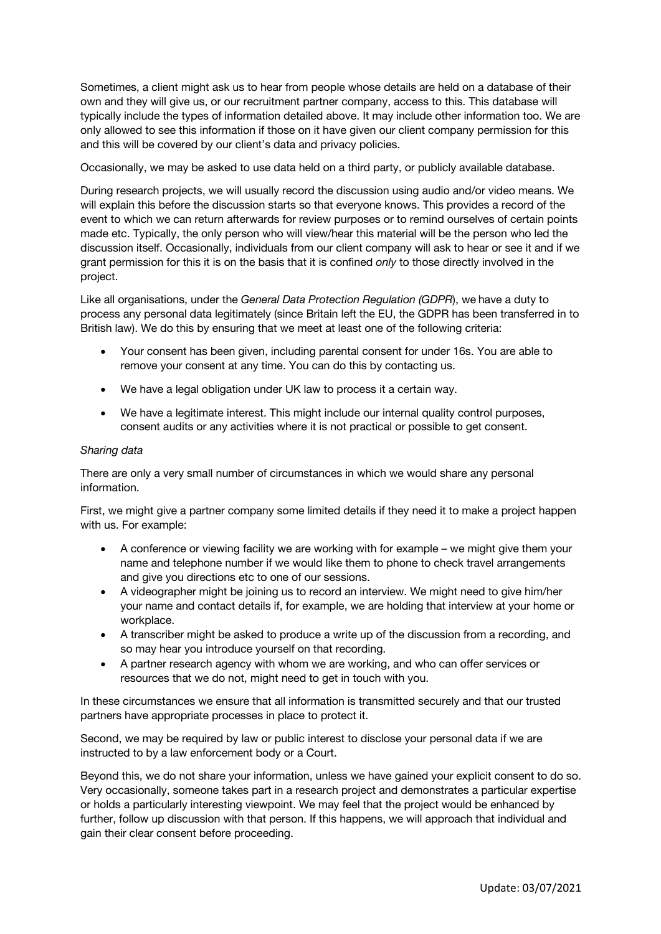Sometimes, a client might ask us to hear from people whose details are held on a database of their own and they will give us, or our recruitment partner company, access to this. This database will typically include the types of information detailed above. It may include other information too. We are only allowed to see this information if those on it have given our client company permission for this and this will be covered by our client's data and privacy policies.

Occasionally, we may be asked to use data held on a third party, or publicly available database.

During research projects, we will usually record the discussion using audio and/or video means. We will explain this before the discussion starts so that everyone knows. This provides a record of the event to which we can return afterwards for review purposes or to remind ourselves of certain points made etc. Typically, the only person who will view/hear this material will be the person who led the discussion itself. Occasionally, individuals from our client company will ask to hear or see it and if we grant permission for this it is on the basis that it is confined *only* to those directly involved in the project.

Like all organisations, under the *General Data Protection Regulation (GDPR*), we have a duty to process any personal data legitimately (since Britain left the EU, the GDPR has been transferred in to British law). We do this by ensuring that we meet at least one of the following criteria:

- Your consent has been given, including parental consent for under 16s. You are able to remove your consent at any time. You can do this by contacting us.
- We have a legal obligation under UK law to process it a certain way.
- We have a legitimate interest. This might include our internal quality control purposes, consent audits or any activities where it is not practical or possible to get consent.

### *Sharing data*

There are only a very small number of circumstances in which we would share any personal information.

First, we might give a partner company some limited details if they need it to make a project happen with us. For example:

- A conference or viewing facility we are working with for example we might give them your name and telephone number if we would like them to phone to check travel arrangements and give you directions etc to one of our sessions.
- A videographer might be joining us to record an interview. We might need to give him/her your name and contact details if, for example, we are holding that interview at your home or workplace.
- A transcriber might be asked to produce a write up of the discussion from a recording, and so may hear you introduce yourself on that recording.
- A partner research agency with whom we are working, and who can offer services or resources that we do not, might need to get in touch with you.

In these circumstances we ensure that all information is transmitted securely and that our trusted partners have appropriate processes in place to protect it.

Second, we may be required by law or public interest to disclose your personal data if we are instructed to by a law enforcement body or a Court.

Beyond this, we do not share your information, unless we have gained your explicit consent to do so. Very occasionally, someone takes part in a research project and demonstrates a particular expertise or holds a particularly interesting viewpoint. We may feel that the project would be enhanced by further, follow up discussion with that person. If this happens, we will approach that individual and gain their clear consent before proceeding.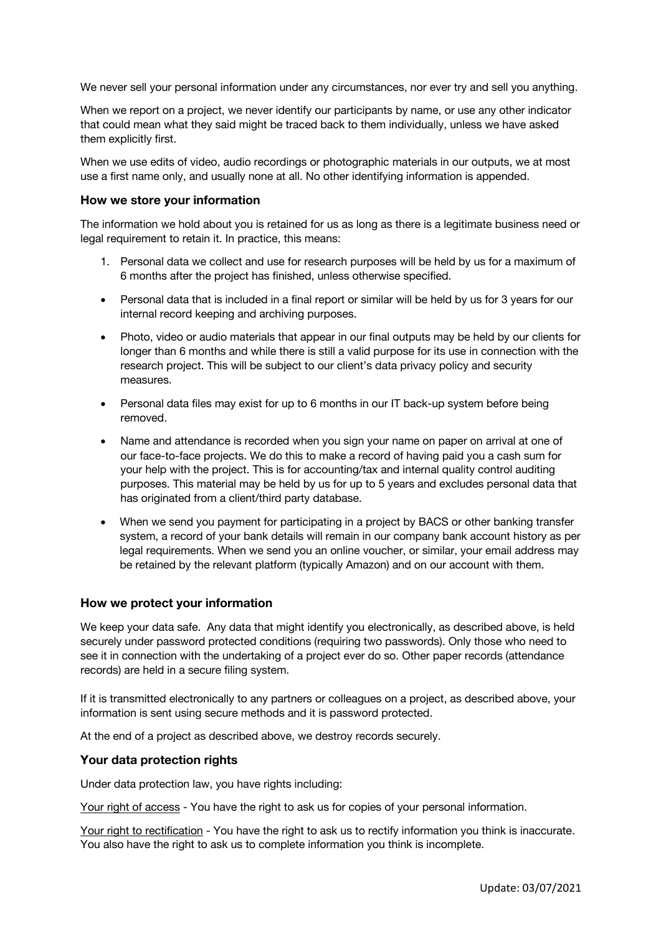We never sell your personal information under any circumstances, nor ever try and sell you anything.

When we report on a project, we never identify our participants by name, or use any other indicator that could mean what they said might be traced back to them individually, unless we have asked them explicitly first.

When we use edits of video, audio recordings or photographic materials in our outputs, we at most use a first name only, and usually none at all. No other identifying information is appended.

### **How we store your information**

The information we hold about you is retained for us as long as there is a legitimate business need or legal requirement to retain it. In practice, this means:

- 1. Personal data we collect and use for research purposes will be held by us for a maximum of 6 months after the project has finished, unless otherwise specified.
- Personal data that is included in a final report or similar will be held by us for 3 years for our internal record keeping and archiving purposes.
- Photo, video or audio materials that appear in our final outputs may be held by our clients for longer than 6 months and while there is still a valid purpose for its use in connection with the research project. This will be subject to our client's data privacy policy and security measures.
- Personal data files may exist for up to 6 months in our IT back-up system before being removed.
- Name and attendance is recorded when you sign your name on paper on arrival at one of our face-to-face projects. We do this to make a record of having paid you a cash sum for your help with the project. This is for accounting/tax and internal quality control auditing purposes. This material may be held by us for up to 5 years and excludes personal data that has originated from a client/third party database.
- When we send you payment for participating in a project by BACS or other banking transfer system, a record of your bank details will remain in our company bank account history as per legal requirements. When we send you an online voucher, or similar, your email address may be retained by the relevant platform (typically Amazon) and on our account with them.

## **How we protect your information**

We keep your data safe. Any data that might identify you electronically, as described above, is held securely under password protected conditions (requiring two passwords). Only those who need to see it in connection with the undertaking of a project ever do so. Other paper records (attendance records) are held in a secure filing system.

If it is transmitted electronically to any partners or colleagues on a project, as described above, your information is sent using secure methods and it is password protected.

At the end of a project as described above, we destroy records securely.

## **Your data protection rights**

Under data protection law, you have rights including:

Your right of access - You have the right to ask us for copies of your personal information.

Your right to rectification - You have the right to ask us to rectify information you think is inaccurate. You also have the right to ask us to complete information you think is incomplete.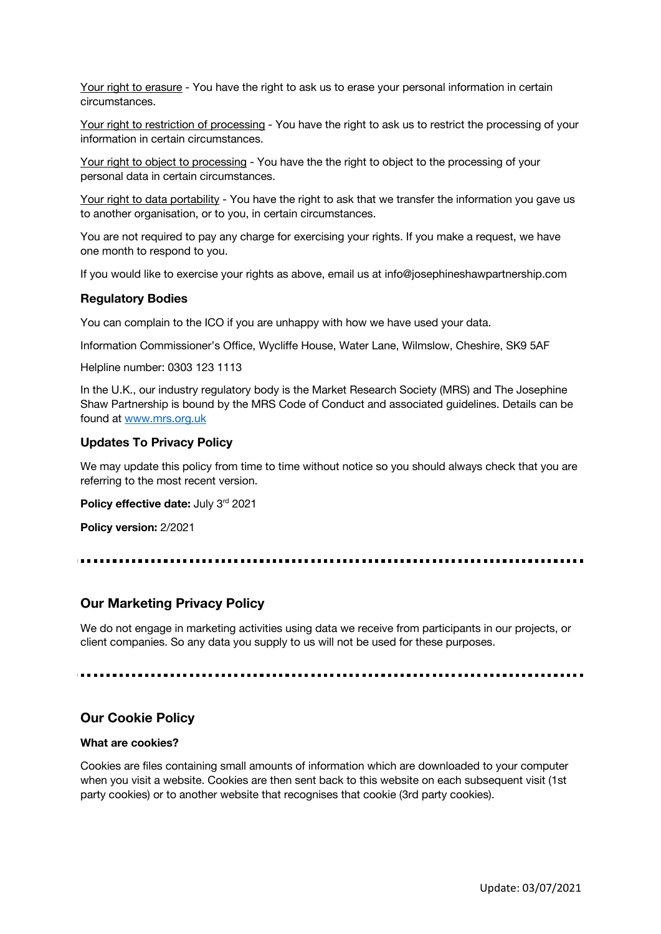Your right to erasure - You have the right to ask us to erase your personal information in certain circumstances.

Your right to restriction of processing - You have the right to ask us to restrict the processing of your information in certain circumstances.

Your right to object to processing - You have the the right to object to the processing of your personal data in certain circumstances.

Your right to data portability - You have the right to ask that we transfer the information you gave us to another organisation, or to you, in certain circumstances.

You are not required to pay any charge for exercising your rights. If you make a request, we have one month to respond to you.

If you would like to exercise your rights as above, email us at info@josephineshawpartnership.com

#### **Regulatory Bodies**

You can complain to the ICO if you are unhappy with how we have used your data.

Information Commissioner's Office, Wycliffe House, Water Lane, Wilmslow, Cheshire, SK9 5AF

Helpline number: 0303 123 1113

In the U.K., our industry regulatory body is the Market Research Society (MRS) and The Josephine Shaw Partnership is bound by the MRS Code of Conduct and associated guidelines. Details can be found at www.mrs.org.uk

#### **Updates To Privacy Policy**

We may update this policy from time to time without notice so you should always check that you are referring to the most recent version.

**Policy effective date: July 3rd 2021** 

**Policy version:** 2/2021

## **Our Marketing Privacy Policy**

We do not engage in marketing activities using data we receive from participants in our projects, or client companies. So any data you supply to us will not be used for these purposes.

## **Our Cookie Policy**

#### **What are cookies?**

Cookies are files containing small amounts of information which are downloaded to your computer when you visit a website. Cookies are then sent back to this website on each subsequent visit (1st party cookies) or to another website that recognises that cookie (3rd party cookies).